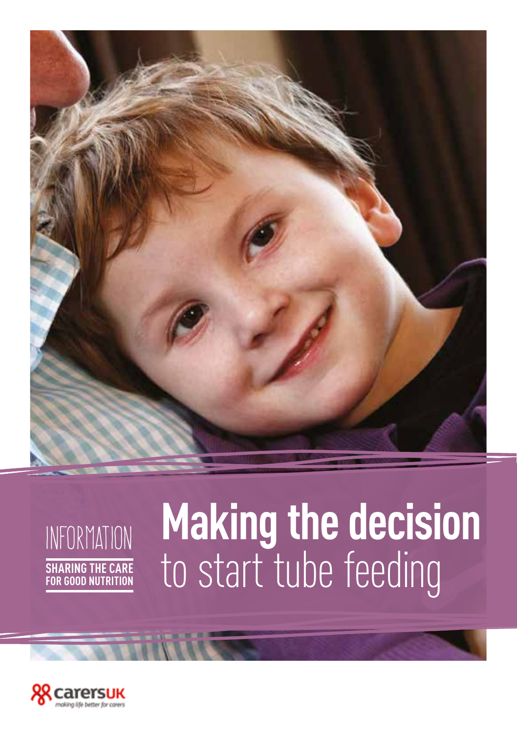

## infoRmation **Sharing the care for good nutrition**

## **Making the decision**  to start tube feeding

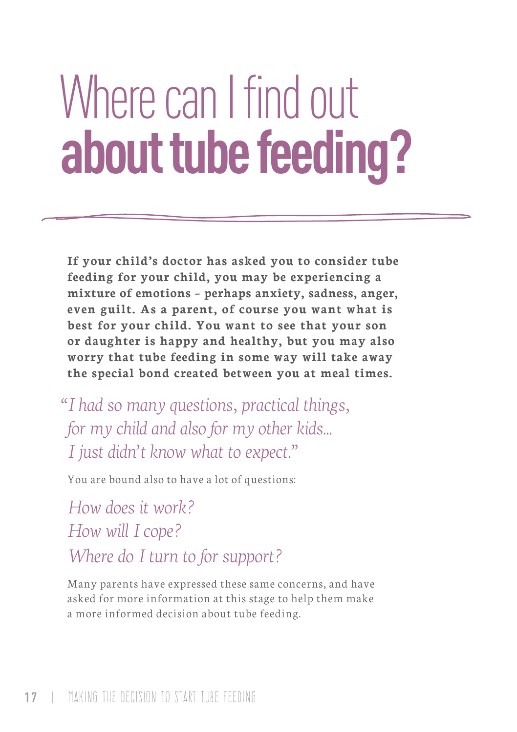# Where can I find out **about tube feeding?**

**If your child's doctor has asked you to consider tube feeding for your child, you may be experiencing a mixture of emotions – perhaps anxiety, sadness, anger, even guilt. As a parent, of course you want what is best for your child. You want to see that your son or daughter is happy and healthy, but you may also worry that tube feeding in some way will take away the special bond created between you at meal times.**

*"I had so many questions, practical things, for my child and also for my other kids... I just didn't know what to expect."*

You are bound also to have a lot of questions:

*How does it work? How will I cope? Where do I turn to for support?* 

Many parents have expressed these same concerns, and have asked for more information at this stage to help them make a more informed decision about tube feeding.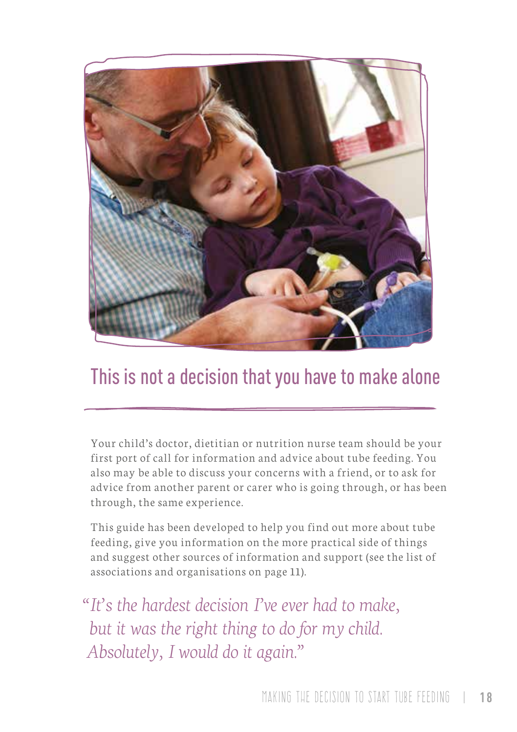

## This is not a decision that you have to make alone

Your child's doctor, dietitian or nutrition nurse team should be your first port of call for information and advice about tube feeding. You also may be able to discuss your concerns with a friend, or to ask for advice from another parent or carer who is going through, or has been through, the same experience.

This guide has been developed to help you find out more about tube feeding, give you information on the more practical side of things and suggest other sources of information and support (see the list of associations and organisations on page 11).

*"It's the hardest decision I've ever had to make, but it was the right thing to do for my child. Absolutely, I would do it again."*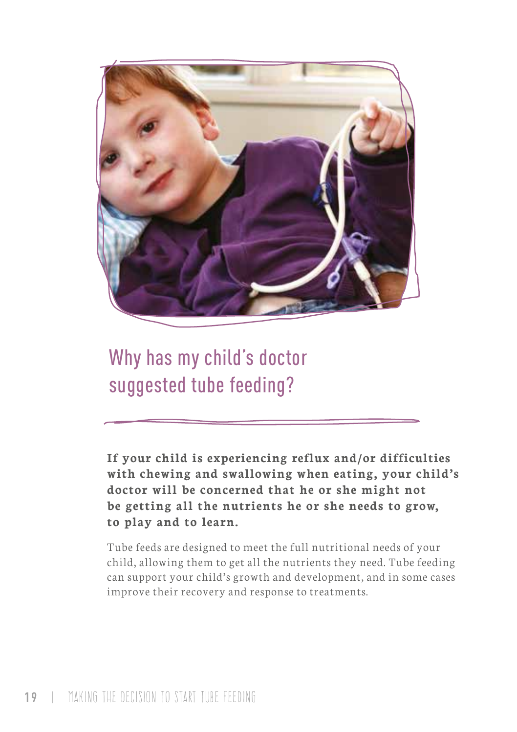

Why has my child's doctor suggested tube feeding?

**If your child is experiencing reflux and/or difficulties with chewing and swallowing when eating, your child's doctor will be concerned that he or she might not be getting all the nutrients he or she needs to grow, to play and to learn.**

Tube feeds are designed to meet the full nutritional needs of your child, allowing them to get all the nutrients they need. Tube feeding can support your child's growth and development, and in some cases improve their recovery and response to treatments.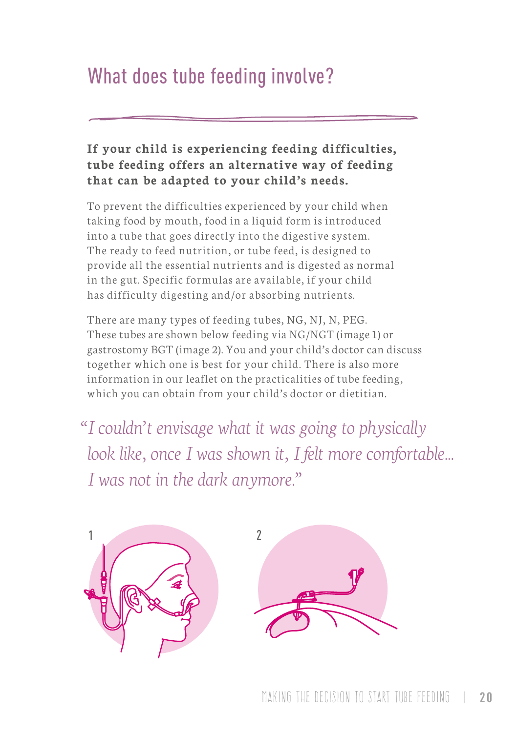## What does tube feeding involve?

#### **If your child is experiencing feeding difficulties, tube feeding offers an alternative way of feeding that can be adapted to your child's needs.**

To prevent the difficulties experienced by your child when taking food by mouth, food in a liquid form is introduced into a tube that goes directly into the digestive system. The ready to feed nutrition, or tube feed, is designed to provide all the essential nutrients and is digested as normal in the gut. Specific formulas are available, if your child has difficulty digesting and/or absorbing nutrients.

There are many types of feeding tubes, NG, NJ, N, PEG. These tubes are shown below feeding via NG/NGT (image 1) or gastrostomy BGT (image 2). You and your child's doctor can discuss together which one is best for your child. There is also more information in our leaflet on the practicalities of tube feeding, which you can obtain from your child's doctor or dietitian.

*"I couldn't envisage what it was going to physically look like, once I was shown it, I felt more comfortable... I was not in the dark anymore."*



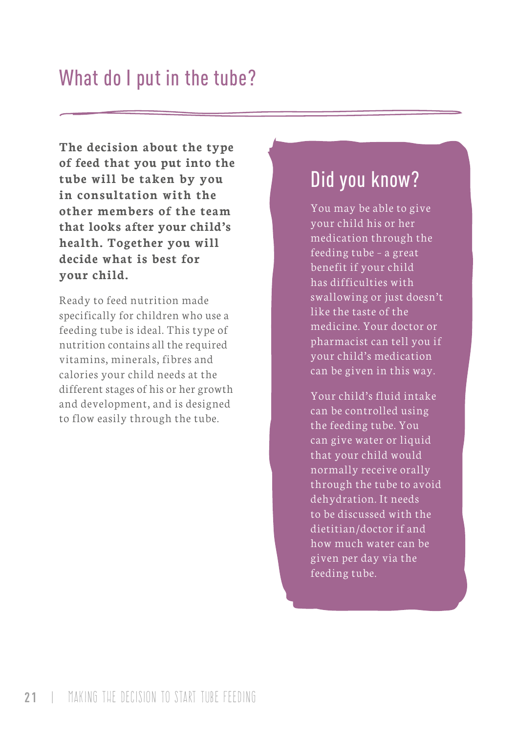**The decision about the type of feed that you put into the tube will be taken by you in consultation with the other members of the team that looks after your child's health. Together you will decide what is best for your child.**

Ready to feed nutrition made specifically for children who use a feeding tube is ideal. This type of nutrition contains all the required vitamins, minerals, fibres and calories your child needs at the different stages of his or her growth and development, and is designed to flow easily through the tube.

## Did you know?

You may be able to give your child his or her medication through the feeding tube – a great benefit if your child has difficulties with swallowing or just doesn't like the taste of the medicine. Your doctor or pharmacist can tell you if your child's medication can be given in this way.

Your child's fluid intake can be controlled using the feeding tube. You can give water or liquid that your child would normally receive orally through the tube to avoid dehydration. It needs to be discussed with the dietitian/doctor if and how much water can be given per day via the feeding tube.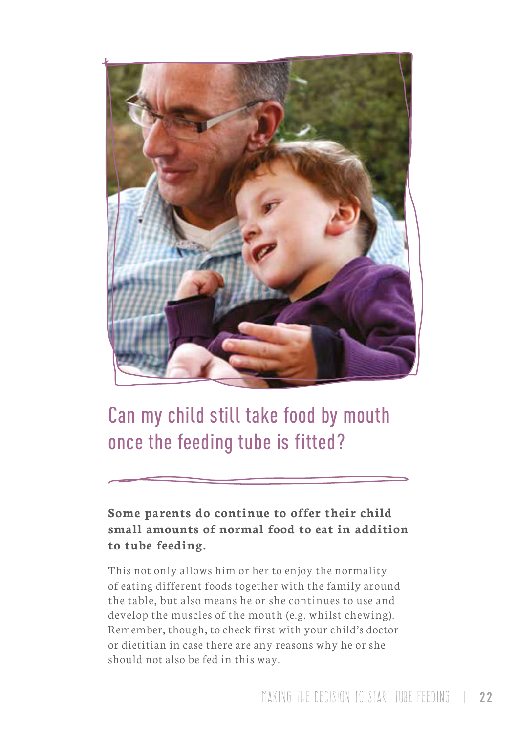

## Can my child still take food by mouth once the feeding tube is fitted?

**Some parents do continue to offer their child small amounts of normal food to eat in addition to tube feeding.**

This not only allows him or her to enjoy the normality of eating different foods together with the family around the table, but also means he or she continues to use and develop the muscles of the mouth (e.g. whilst chewing). Remember, though, to check first with your child's doctor or dietitian in case there are any reasons why he or she should not also be fed in this way.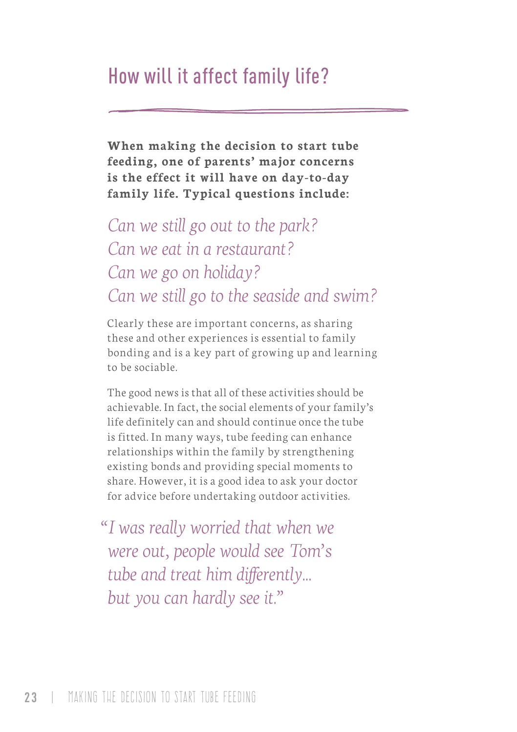## How will it affect family life?

**When making the decision to start tube feeding, one of parents' major concerns is the effect it will have on day-to-day family life. Typical questions include:**

## *Can we still go out to the park? Can we eat in a restaurant? Can we go on holiday? Can we still go to the seaside and swim?*

Clearly these are important concerns, as sharing these and other experiences is essential to family bonding and is a key part of growing up and learning to be sociable.

The good news is that all of these activities should be achievable. In fact, the social elements of your family's life definitely can and should continue once the tube is fitted. In many ways, tube feeding can enhance relationships within the family by strengthening existing bonds and providing special moments to share. However, it is a good idea to ask your doctor for advice before undertaking outdoor activities.

*"I was really worried that when we were out, people would see Tom's tube and treat him differently... but you can hardly see it."*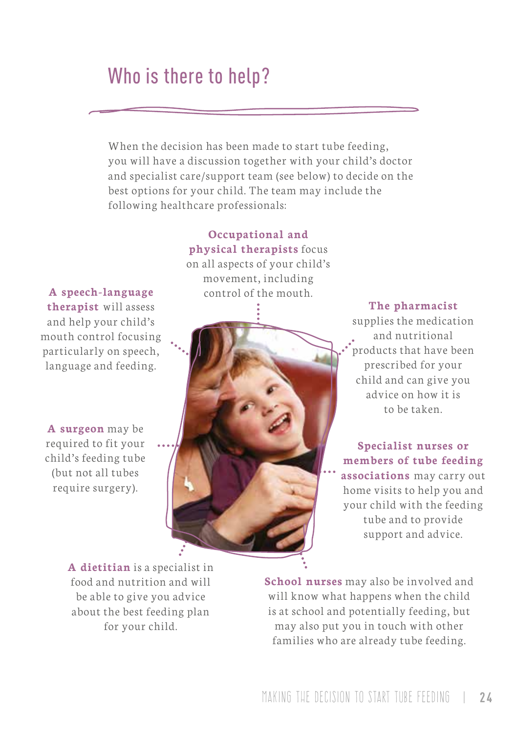## Who is there to help?

When the decision has been made to start tube feeding, you will have a discussion together with your child's doctor and specialist care/support team (see below) to decide on the best options for your child. The team may include the following healthcare professionals:

**A speech-language** control of the mouth. **therapist** will assess and help your child's mouth control focusing particularly on speech, language and feeding.

**A surgeon** may be required to fit your child's feeding tube (but not all tubes require surgery).

**Occupational and physical therapists** focus on all aspects of your child's movement, including



**The pharmacist**

supplies the medication and nutritional products that have been prescribed for your child and can give you advice on how it is to be taken.

**Specialist nurses or members of tube feeding associations** may carry out home visits to help you and your child with the feeding tube and to provide support and advice.

**A dietitian** is a specialist in food and nutrition and will be able to give you advice about the best feeding plan for your child.

**School nurses** may also be involved and will know what happens when the child is at school and potentially feeding, but may also put you in touch with other families who are already tube feeding.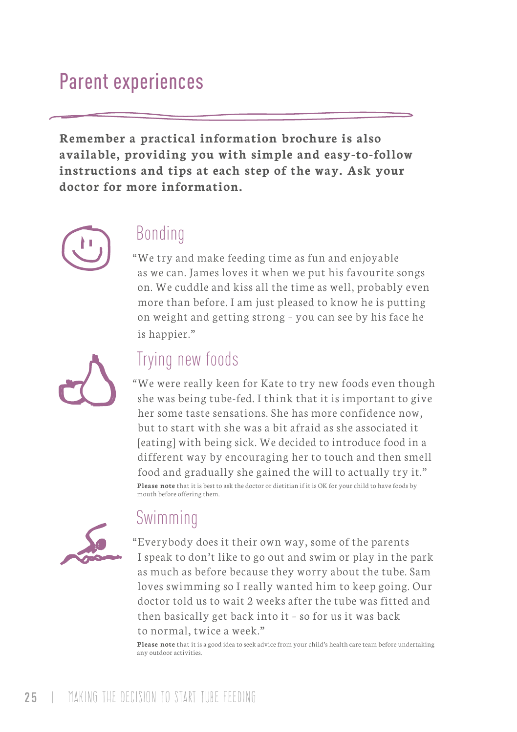## Parent experiences

**Remember a practical information brochure is also available, providing you with simple and easy-to-follow instructions and tips at each step of the way. Ask your doctor for more information.**



### Bonding

"We try and make feeding time as fun and enjoyable as we can. James loves it when we put his favourite songs on. We cuddle and kiss all the time as well, probably even more than before. I am just pleased to know he is putting on weight and getting strong – you can see by his face he is happier."



## Trying new foods

"We were really keen for Kate to try new foods even though she was being tube-fed. I think that it is important to give her some taste sensations. She has more confidence now, but to start with she was a bit afraid as she associated it [eating] with being sick. We decided to introduce food in a different way by encouraging her to touch and then smell food and gradually she gained the will to actually try it." **Please note** that it is best to ask the doctor or dietitian if it is OK for your child to have foods by mouth before offering them.



### Swimming

"Everybody does it their own way, some of the parents I speak to don't like to go out and swim or play in the park as much as before because they worry about the tube. Sam loves swimming so I really wanted him to keep going. Our doctor told us to wait 2 weeks after the tube was fitted and then basically get back into it – so for us it was back to normal, twice a week."

**Please note** that it is a good idea to seek advice from your child's health care team before undertaking any outdoor activities.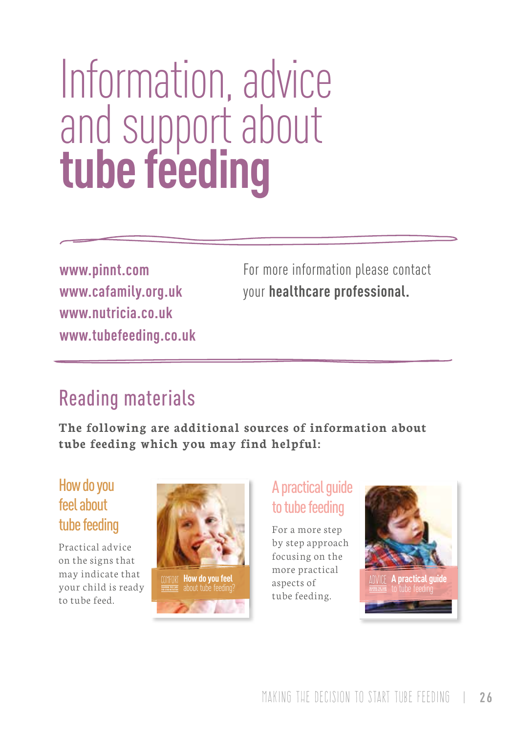## Information, advice and support about **tube feeding**

**www.pinnt.com www.cafamily.org.uk www.nutricia.co.uk www.tubefeeding.co.uk**

For more information please contact your **healthcare professional.**

## Reading materials

**The following are additional sources of information about tube feeding which you may find helpful:** 

### How do you feel about tube feeding

Practical advice on the signs that may indicate that your child is ready to tube feed.



### A practical guide to tube feeding

For a more step by step approach focusing on the more practical aspects of tube feeding.

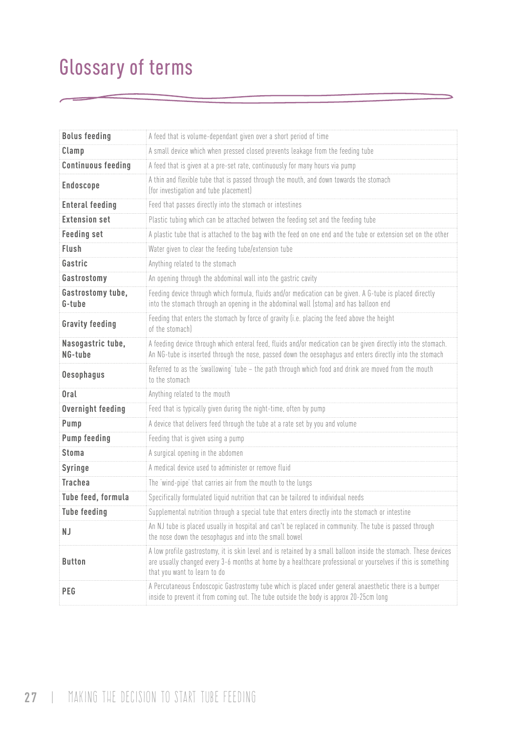## Glossary of terms

| <b>Bolus feeding</b>         | A feed that is volume-dependant given over a short period of time                                                                                                                                                                                                |  |  |
|------------------------------|------------------------------------------------------------------------------------------------------------------------------------------------------------------------------------------------------------------------------------------------------------------|--|--|
| Clamp                        | A small device which when pressed closed prevents leakage from the feeding tube                                                                                                                                                                                  |  |  |
| <b>Continuous feeding</b>    | A feed that is given at a pre-set rate, continuously for many hours via pump                                                                                                                                                                                     |  |  |
| Endoscope                    | A thin and flexible tube that is passed through the mouth, and down towards the stomach<br>(for investigation and tube placement)                                                                                                                                |  |  |
| <b>Enteral feeding</b>       | Feed that passes directly into the stomach or intestines                                                                                                                                                                                                         |  |  |
| <b>Extension set</b>         | Plastic tubing which can be attached between the feeding set and the feeding tube                                                                                                                                                                                |  |  |
| <b>Feeding set</b>           | A plastic tube that is attached to the bag with the feed on one end and the tube or extension set on the other                                                                                                                                                   |  |  |
| Flush                        | Water given to clear the feeding tube/extension tube                                                                                                                                                                                                             |  |  |
| Gastric                      | Anything related to the stomach                                                                                                                                                                                                                                  |  |  |
| Gastrostomy                  | An opening through the abdominal wall into the gastric cavity                                                                                                                                                                                                    |  |  |
| Gastrostomy tube,<br>G-tube  | Feeding device through which formula, fluids and/or medication can be given. A G-tube is placed directly<br>into the stomach through an opening in the abdominal wall (stoma) and has balloon end                                                                |  |  |
| <b>Gravity feeding</b>       | Feeding that enters the stomach by force of gravity (i.e. placing the feed above the height<br>of the stomachl                                                                                                                                                   |  |  |
| Nasogastric tube,<br>NG-tube | A feeding device through which enteral feed, fluids and/or medication can be given directly into the stomach.<br>An NG-tube is inserted through the nose, passed down the oesophagus and enters directly into the stomach                                        |  |  |
| <b>Oesophagus</b>            | Referred to as the 'swallowing' tube - the path through which food and drink are moved from the mouth<br>to the stomach                                                                                                                                          |  |  |
| Oral                         | Anything related to the mouth                                                                                                                                                                                                                                    |  |  |
| Overnight feeding            | Feed that is typically given during the night-time, often by pump                                                                                                                                                                                                |  |  |
| Pump                         | A device that delivers feed through the tube at a rate set by you and volume                                                                                                                                                                                     |  |  |
| Pump feeding                 | Feeding that is given using a pump                                                                                                                                                                                                                               |  |  |
| Stoma                        | A surgical opening in the abdomen                                                                                                                                                                                                                                |  |  |
| Syringe                      | A medical device used to administer or remove fluid                                                                                                                                                                                                              |  |  |
| <b>Trachea</b>               | The 'wind-pipe' that carries air from the mouth to the lungs                                                                                                                                                                                                     |  |  |
| Tube feed, formula           | Specifically formulated liquid nutrition that can be tailored to individual needs                                                                                                                                                                                |  |  |
| <b>Tube feeding</b>          | Supplemental nutrition through a special tube that enters directly into the stomach or intestine                                                                                                                                                                 |  |  |
| N J                          | An NJ tube is placed usually in hospital and can't be replaced in community. The tube is passed through<br>the nose down the oesophagus and into the small bowel                                                                                                 |  |  |
| <b>Button</b>                | A low profile gastrostomy, it is skin level and is retained by a small balloon inside the stomach. These devices<br>are usually changed every 3-6 months at home by a healthcare professional or yourselves if this is something<br>that you want to learn to do |  |  |
| <b>PEG</b>                   | A Percutaneous Endoscopic Gastrostomy tube which is placed under general anaesthetic there is a bumper<br>inside to prevent it from coming out. The tube outside the body is approx 20-25cm long                                                                 |  |  |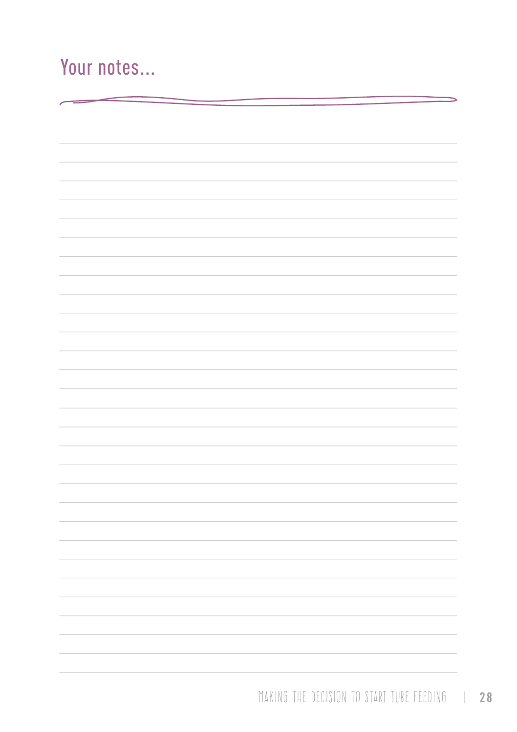## Your notes...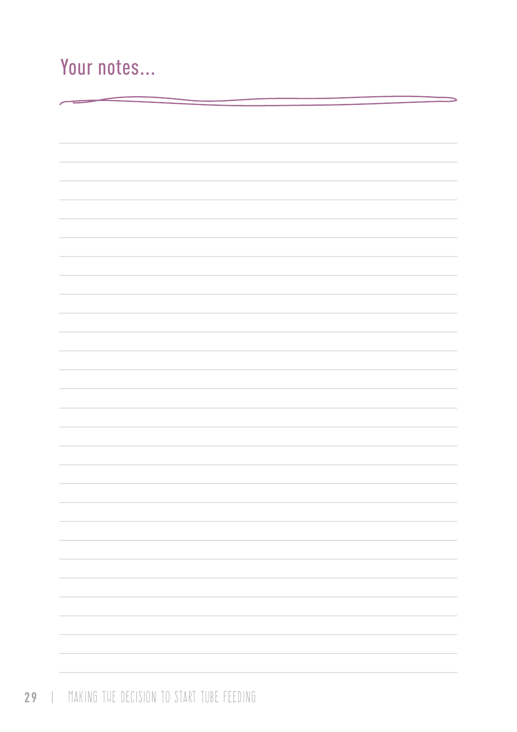## Your notes...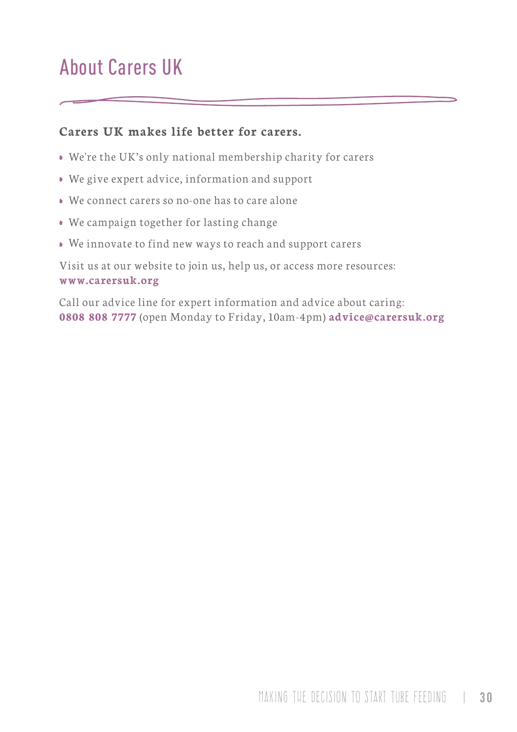## About Carers UK

#### **Carers UK makes life better for carers.**

- We're the UK's only national membership charity for carers
- We give expert advice, information and support
- We connect carers so no-one has to care alone
- We campaign together for lasting change
- We innovate to find new ways to reach and support carers

Visit us at our website to join us, help us, or access more resources: **www.carersuk.org** 

Call our advice line for expert information and advice about caring: **0808 808 7777** (open Monday to Friday, 10am-4pm) **advice@carersuk.org**